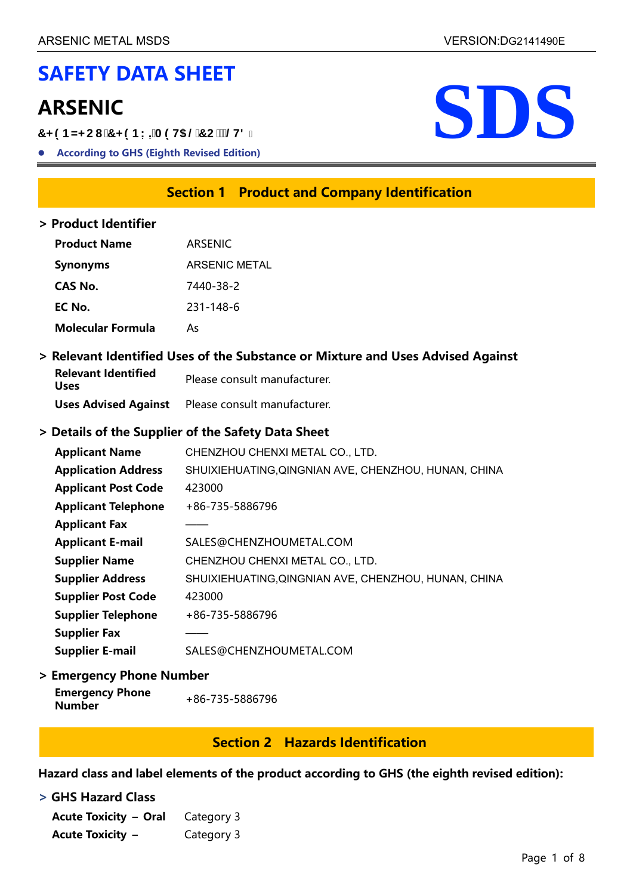# **SAFETY DATA SHEET**

7<9BN<Cl 7<9BL=A9H5@7C'2@H8"

**According to GHS (Eighth Revised Edition)**



# **Section 1 Product and Company Identification**

#### **> Product Identifier**

| <b>Product Name</b>      | <b>ARSENIC</b>       |
|--------------------------|----------------------|
| <b>Synonyms</b>          | <b>ARSENIC METAL</b> |
| CAS No.                  | 7440-38-2            |
| EC No.                   | 231-148-6            |
| <b>Molecular Formula</b> | А٢                   |

#### **> Relevant Identified Uses of the Substance or Mixture and Uses Advised Against**

| <b>Relevant Identified</b><br>Uses | Please consult manufacturer.                             |  |  |
|------------------------------------|----------------------------------------------------------|--|--|
|                                    | <b>Uses Advised Against</b> Please consult manufacturer. |  |  |

### **> Details of the Supplier of the Safety Data Sheet**

| <b>Applicant Name</b>      | CHENZHOU CHENXI METAL CO., LTD.                      |
|----------------------------|------------------------------------------------------|
| <b>Application Address</b> | SHUIXIEHUATING, QINGNIAN AVE, CHENZHOU, HUNAN, CHINA |
| <b>Applicant Post Code</b> | 423000                                               |
| <b>Applicant Telephone</b> | +86-735-5886796                                      |
| <b>Applicant Fax</b>       |                                                      |
| <b>Applicant E-mail</b>    | SALES@CHENZHOUMETAL.COM                              |
| <b>Supplier Name</b>       | CHENZHOU CHENXI METAL CO., LTD.                      |
| <b>Supplier Address</b>    | SHUIXIEHUATING, QINGNIAN AVE, CHENZHOU, HUNAN, CHINA |
| <b>Supplier Post Code</b>  | 423000                                               |
| <b>Supplier Telephone</b>  | +86-735-5886796                                      |
| <b>Supplier Fax</b>        |                                                      |
| <b>Supplier E-mail</b>     | SALES@CHENZHOUMETAL.COM                              |

#### **> Emergency Phone Number**

| +86-735-5886796 |
|-----------------|
|                 |

# **Section 2 Hazards Identification**

**Hazard class and label elements of the product according to GHS (the eighth revised edition):**

#### **> GHS Hazard Class**

| <b>Acute Toxicity - Oral</b> Category 3 |            |
|-----------------------------------------|------------|
| <b>Acute Toxicity –</b>                 | Category 3 |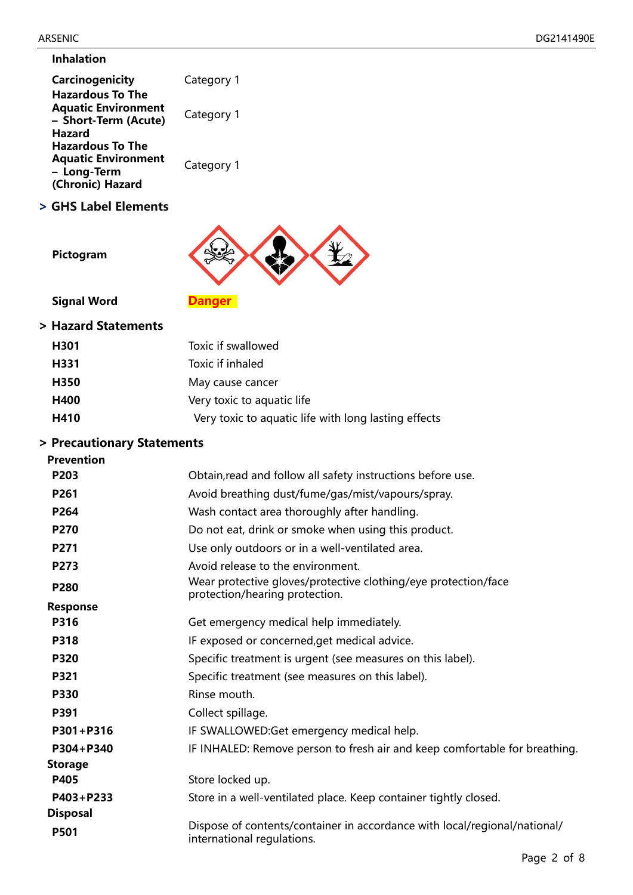#### **Inhalation**

| <b>Carcinogenicity</b>                                                        | Category 1 |
|-------------------------------------------------------------------------------|------------|
| <b>Hazardous To The</b><br><b>Aquatic Environment</b><br>- Short-Term (Acute) | Category 1 |
| <b>Hazard</b><br><b>Hazardous To The</b>                                      |            |
| <b>Aquatic Environment</b><br>- Long-Term<br>(Chronic) Hazard                 | Category 1 |

**> GHS Label Elements**



**Pictogram**

**Signal Word Danger** 

#### **> Hazard Statements**

| H <sub>301</sub> | Toxic if swallowed                                   |
|------------------|------------------------------------------------------|
| H331             | Toxic if inhaled                                     |
| H350             | May cause cancer                                     |
| H400             | Very toxic to aquatic life                           |
| H410             | Very toxic to aquatic life with long lasting effects |

# **> Precautionary Statements**

| <b>Prevention</b> |                                                                                                         |
|-------------------|---------------------------------------------------------------------------------------------------------|
| P203              | Obtain, read and follow all safety instructions before use.                                             |
| P261              | Avoid breathing dust/fume/gas/mist/vapours/spray.                                                       |
| P264              | Wash contact area thoroughly after handling.                                                            |
| P270              | Do not eat, drink or smoke when using this product.                                                     |
| P271              | Use only outdoors or in a well-ventilated area.                                                         |
| P273              | Avoid release to the environment.                                                                       |
| P280              | Wear protective gloves/protective clothing/eye protection/face<br>protection/hearing protection.        |
| <b>Response</b>   |                                                                                                         |
| P316              | Get emergency medical help immediately.                                                                 |
| P318              | IF exposed or concerned, get medical advice.                                                            |
| P320              | Specific treatment is urgent (see measures on this label).                                              |
| <b>P321</b>       | Specific treatment (see measures on this label).                                                        |
| <b>P330</b>       | Rinse mouth.                                                                                            |
| P391              | Collect spillage.                                                                                       |
| P301+P316         | IF SWALLOWED:Get emergency medical help.                                                                |
| P304+P340         | IF INHALED: Remove person to fresh air and keep comfortable for breathing.                              |
| <b>Storage</b>    |                                                                                                         |
| P405              | Store locked up.                                                                                        |
| P403+P233         | Store in a well-ventilated place. Keep container tightly closed.                                        |
| <b>Disposal</b>   |                                                                                                         |
| P501              | Dispose of contents/container in accordance with local/regional/national/<br>international regulations. |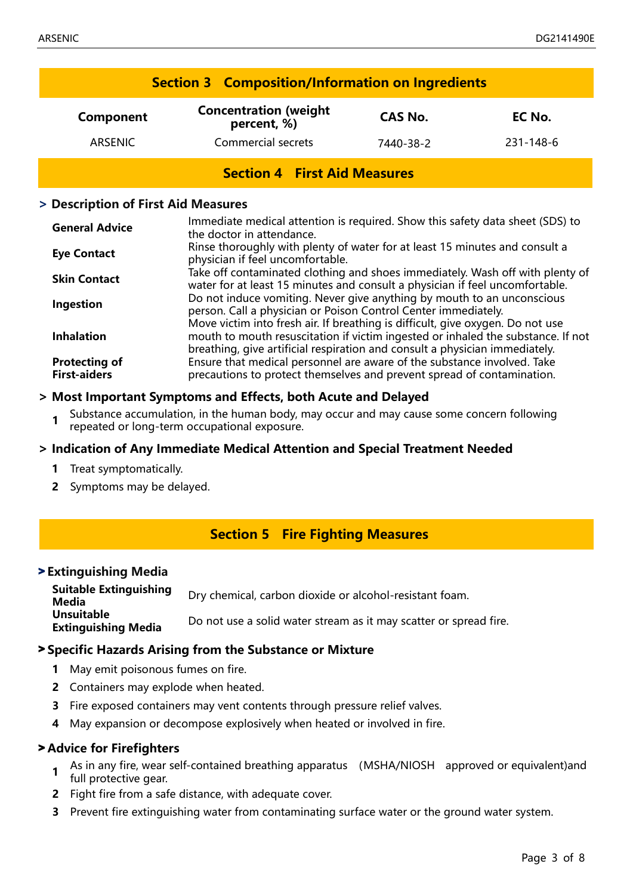|                                     | <b>Section 3 Composition/Information on Ingredients</b> |                |           |
|-------------------------------------|---------------------------------------------------------|----------------|-----------|
| Component                           | <b>Concentration (weight)</b><br>percent, %)            | <b>CAS No.</b> | EC No.    |
| ARSENIC                             | <b>Commercial secrets</b>                               | 7440-38-2      | 231-148-6 |
| <b>Section 4 First Aid Measures</b> |                                                         |                |           |

#### **> Description of First Aid Measures**

| <b>General Advice</b>                       | Immediate medical attention is required. Show this safety data sheet (SDS) to<br>the doctor in attendance.                                                                                                                                        |
|---------------------------------------------|---------------------------------------------------------------------------------------------------------------------------------------------------------------------------------------------------------------------------------------------------|
| <b>Eye Contact</b>                          | Rinse thoroughly with plenty of water for at least 15 minutes and consult a<br>physician if feel uncomfortable.                                                                                                                                   |
| <b>Skin Contact</b>                         | Take off contaminated clothing and shoes immediately. Wash off with plenty of<br>water for at least 15 minutes and consult a physician if feel uncomfortable.                                                                                     |
| Ingestion                                   | Do not induce vomiting. Never give anything by mouth to an unconscious<br>person. Call a physician or Poison Control Center immediately.                                                                                                          |
| <b>Inhalation</b>                           | Move victim into fresh air. If breathing is difficult, give oxygen. Do not use<br>mouth to mouth resuscitation if victim ingested or inhaled the substance. If not<br>breathing, give artificial respiration and consult a physician immediately. |
| <b>Protecting of</b><br><b>First-aiders</b> | Ensure that medical personnel are aware of the substance involved. Take<br>precautions to protect themselves and prevent spread of contamination.                                                                                                 |

#### **> Most Important Symptoms and Effects, both Acute and Delayed**

**1** Substance accumulation, in the human body, may occur and may cause some concern following repeated or long-term occupational exposure.

#### **> Indication of Any Immediate Medical Attention and Special Treatment Needed**

- **1** Treat symptomatically.
- **2** Symptoms may be delayed.

### **Section 5 Fire Fighting Measures**

#### > **Extinguishing Media**

**Suitable Extinguishing Media** Dry chemical, carbon dioxide or alcohol-resistant foam. **Unsuitable Extinguishing Media** Do not use a solid water stream as it may scatter or spread fire.

#### > **Specific Hazards Arising from the Substance or Mixture**

- **1** May emit poisonous fumes on fire.
- **2** Containers may explode when heated.
- **3** Fire exposed containers may vent contents through pressure relief valves.
- **4** May expansion or decompose explosively when heated or involved in fire.

#### > **Advice for Firefighters**

- **1** As in any fire, wear self-contained breathing apparatus (MSHA/NIOSH approved or equivalent)and full protective gear.
- **2** Fight fire from a safe distance, with adequate cover.
- **3** Prevent fire extinguishing water from contaminating surface water or the ground water system.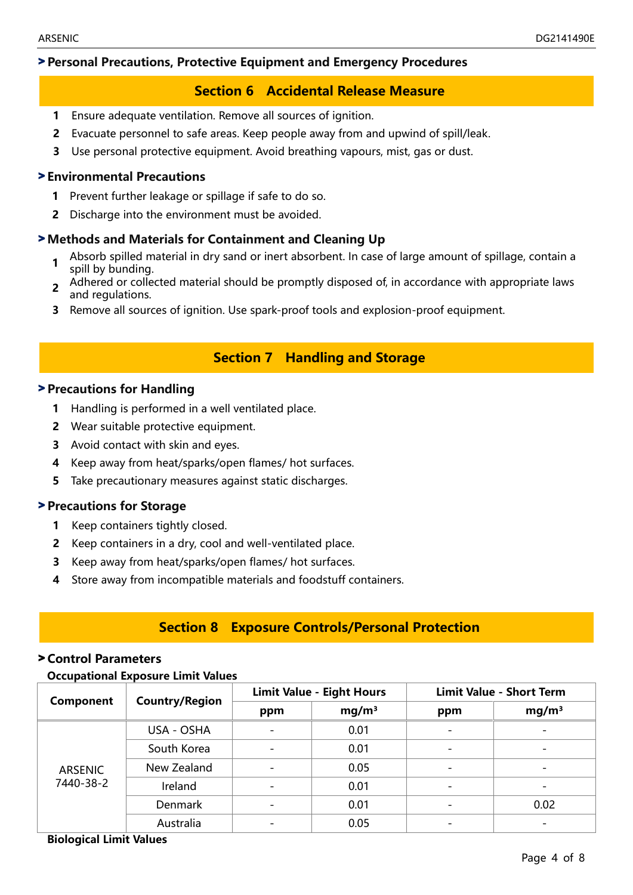## > **Personal Precautions, Protective Equipment and Emergency Procedures**

# **Section 6 Accidental Release Measure**

- **1** Ensure adequate ventilation. Remove all sources of ignition.
- **2** Evacuate personnel to safe areas. Keep people away from and upwind of spill/leak.
- **3** Use personal protective equipment. Avoid breathing vapours, mist, gas or dust.

#### > **Environmental Precautions**

- **1** Prevent further leakage or spillage if safe to do so.
- **2** Discharge into the environment must be avoided.

### > **Methods and Materials for Containment and Cleaning Up**

- **1** Absorb spilled material in dry sand or inert absorbent. In case of large amount of spillage, contain a spill by bunding.
- **2** Adhered or collected material should be promptly disposed of, in accordance with appropriate laws and regulations.
- **3** Remove all sources of ignition. Use spark-proof tools and explosion-proof equipment.

# **Section 7 Handling and Storage**

#### > **Precautions for Handling**

- **1** Handling is performed in a well ventilated place.
- **2** Wear suitable protective equipment.
- **3** Avoid contact with skin and eyes.
- **4** Keep away from heat/sparks/open flames/ hot surfaces.
- **5** Take precautionary measures against static discharges.

### > **Precautions for Storage**

- **1** Keep containers tightly closed.
- **2** Keep containers in a dry, cool and well-ventilated place.
- **3** Keep away from heat/sparks/open flames/ hot surfaces.
- **4** Store away from incompatible materials and foodstuff containers.

# **Section 8 Exposure Controls/Personal Protection**

#### > **Control Parameters**

#### **Occupational Exposure Limit Values**

| Component                   | <b>Country/Region</b> | <b>Limit Value - Eight Hours</b> |                   | <b>Limit Value - Short Term</b> |                   |
|-----------------------------|-----------------------|----------------------------------|-------------------|---------------------------------|-------------------|
|                             |                       | ppm                              | mg/m <sup>3</sup> | ppm                             | mg/m <sup>3</sup> |
|                             | USA - OSHA            | $\equiv$                         | 0.01              |                                 |                   |
| <b>ARSENIC</b><br>7440-38-2 | South Korea           | $\overline{\phantom{0}}$         | 0.01              |                                 |                   |
|                             | New Zealand           |                                  | 0.05              |                                 |                   |
|                             | Ireland               |                                  | 0.01              |                                 |                   |
|                             | Denmark               |                                  | 0.01              |                                 | 0.02              |
|                             | Australia             |                                  | 0.05              |                                 |                   |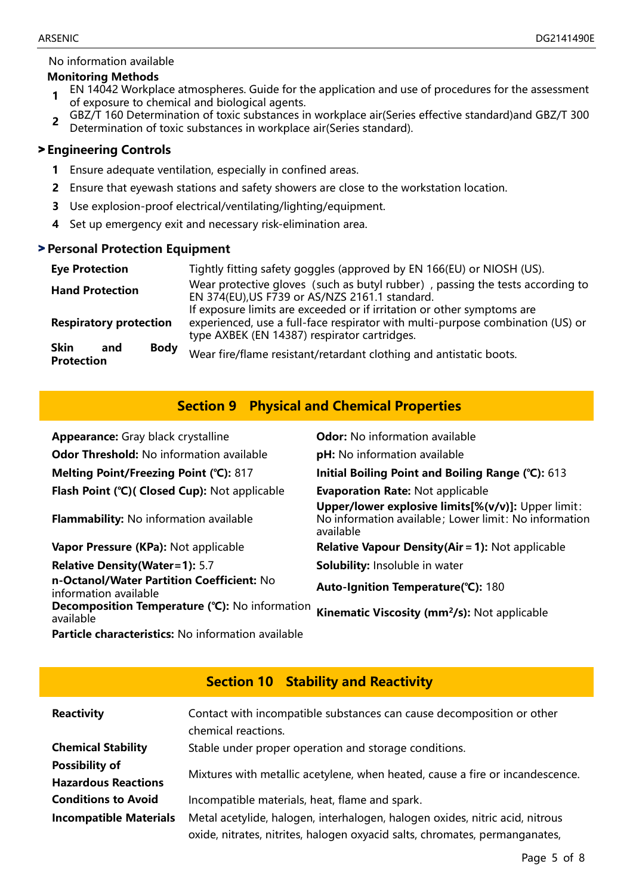#### No information available

#### **Monitoring Methods**

- **1** EN 14042 Workplace atmospheres. Guide for the application and use of procedures for the assessment of exposure to chemical and biological agents.
- **2** GBZ/T 160 Determination of toxic substances in workplace air(Series effective standard)and GBZ/T 300 Determination of toxic substances in workplace air(Series standard).

#### > **Engineering Controls**

- **1** Ensure adequate ventilation, especially in confined areas.
- **2** Ensure that eyewash stations and safety showers are close to the workstation location.
- **3** Use explosion-proof electrical/ventilating/lighting/equipment.
- **4** Set up emergency exit and necessary risk-elimination area.

#### > **Personal Protection Equipment**

| <b>Eye Protection</b>                                  | Tightly fitting safety goggles (approved by EN 166(EU) or NIOSH (US).                                                                                                                                    |  |  |
|--------------------------------------------------------|----------------------------------------------------------------------------------------------------------------------------------------------------------------------------------------------------------|--|--|
| <b>Hand Protection</b>                                 | Wear protective gloves (such as butyl rubber), passing the tests according to<br>EN 374(EU), US F739 or AS/NZS 2161.1 standard.                                                                          |  |  |
| <b>Respiratory protection</b>                          | If exposure limits are exceeded or if irritation or other symptoms are<br>experienced, use a full-face respirator with multi-purpose combination (US) or<br>type AXBEK (EN 14387) respirator cartridges. |  |  |
| <b>Body</b><br><b>Skin</b><br>and<br><b>Protection</b> | Wear fire/flame resistant/retardant clothing and antistatic boots.                                                                                                                                       |  |  |

# **Section 9 Physical and Chemical Properties**

| <b>Appearance:</b> Gray black crystalline                          | <b>Odor:</b> No information available                                                                                    |
|--------------------------------------------------------------------|--------------------------------------------------------------------------------------------------------------------------|
| <b>Odor Threshold:</b> No information available                    | pH: No information available                                                                                             |
| Melting Point/Freezing Point (°C): 817                             | Initial Boiling Point and Boiling Range (°C): 613                                                                        |
| Flash Point (°C)( Closed Cup): Not applicable                      | <b>Evaporation Rate: Not applicable</b>                                                                                  |
| <b>Flammability:</b> No information available                      | Upper/lower explosive limits[%(v/v)]: Upper limit:<br>No information available; Lower limit: No information<br>available |
| Vapor Pressure (KPa): Not applicable                               | <b>Relative Vapour Density(Air = 1): Not applicable</b>                                                                  |
| <b>Relative Density (Water=1): 5.7</b>                             | <b>Solubility:</b> Insoluble in water                                                                                    |
| n-Octanol/Water Partition Coefficient: No<br>information available | Auto-Ignition Temperature(°C): 180                                                                                       |
| <b>Decomposition Temperature (°C):</b> No information<br>available | Kinematic Viscosity (mm <sup>2</sup> /s): Not applicable                                                                 |
| Particle characteristics: No information available                 |                                                                                                                          |

|                                                     | <b>Section 10 Stability and Reactivity</b>                                                                                                                  |
|-----------------------------------------------------|-------------------------------------------------------------------------------------------------------------------------------------------------------------|
| <b>Reactivity</b>                                   | Contact with incompatible substances can cause decomposition or other<br>chemical reactions.                                                                |
| <b>Chemical Stability</b>                           | Stable under proper operation and storage conditions.                                                                                                       |
| <b>Possibility of</b><br><b>Hazardous Reactions</b> | Mixtures with metallic acetylene, when heated, cause a fire or incandescence.                                                                               |
| <b>Conditions to Avoid</b>                          | Incompatible materials, heat, flame and spark.                                                                                                              |
| <b>Incompatible Materials</b>                       | Metal acetylide, halogen, interhalogen, halogen oxides, nitric acid, nitrous<br>oxide, nitrates, nitrites, halogen oxyacid salts, chromates, permanganates, |

#### Page 5 of 8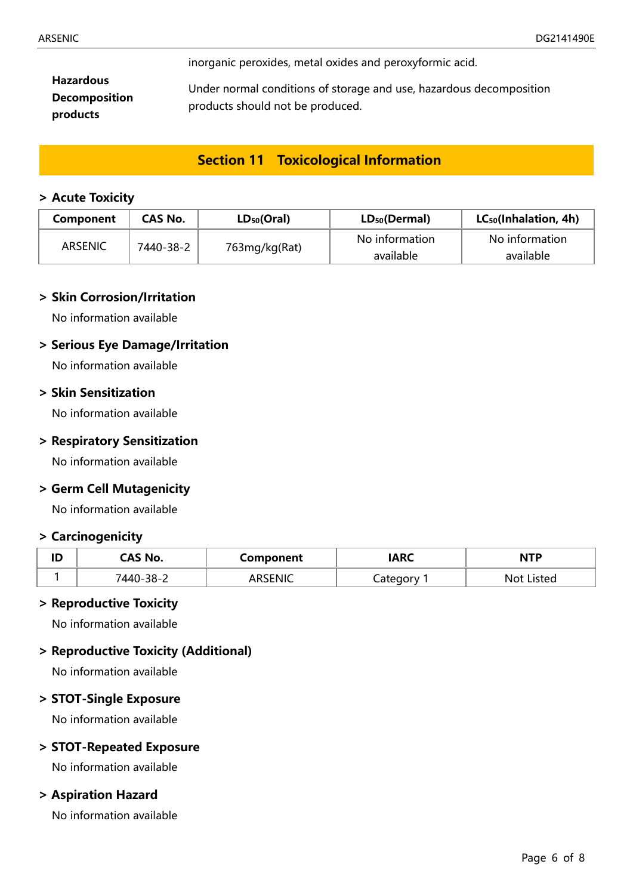inorganic peroxides, metal oxides and peroxyformic acid.

**Hazardous Decomposition products**

Under normal conditions of storage and use, hazardous decomposition products should not be produced.

# **Section 11 Toxicological Information**

#### **> Acute Toxicity**

| <b>Component</b> | CAS No.   | $LD_{50}(Oral)$<br>$LD_{50}(Dermal)$ |                | $LC_{50}$ (Inhalation, 4h) |  |
|------------------|-----------|--------------------------------------|----------------|----------------------------|--|
| ARSENIC          | 7440-38-2 |                                      | No information | No information             |  |
|                  |           | 763mg/kg(Rat)                        | available      | available                  |  |

#### **> Skin Corrosion/Irritation**

No information available

#### **> Serious Eye Damage/Irritation**

No information available

### **> Skin Sensitization**

No information available

#### **> Respiratory Sensitization**

No information available

#### **> Germ Cell Mutagenicity**

No information available

#### **> Carcinogenicity**

| ID | CAS No.   | Component | <b>ARC</b>              | NTP           |  |
|----|-----------|-----------|-------------------------|---------------|--|
|    | '440-38-2 |           | <u>ategory</u><br>calci | Listed<br>Not |  |

#### **> Reproductive Toxicity**

No information available

#### **> Reproductive Toxicity (Additional)**

No information available

#### **> STOT-Single Exposure**

No information available

#### **> STOT-Repeated Exposure**

No information available

#### **> Aspiration Hazard**

No information available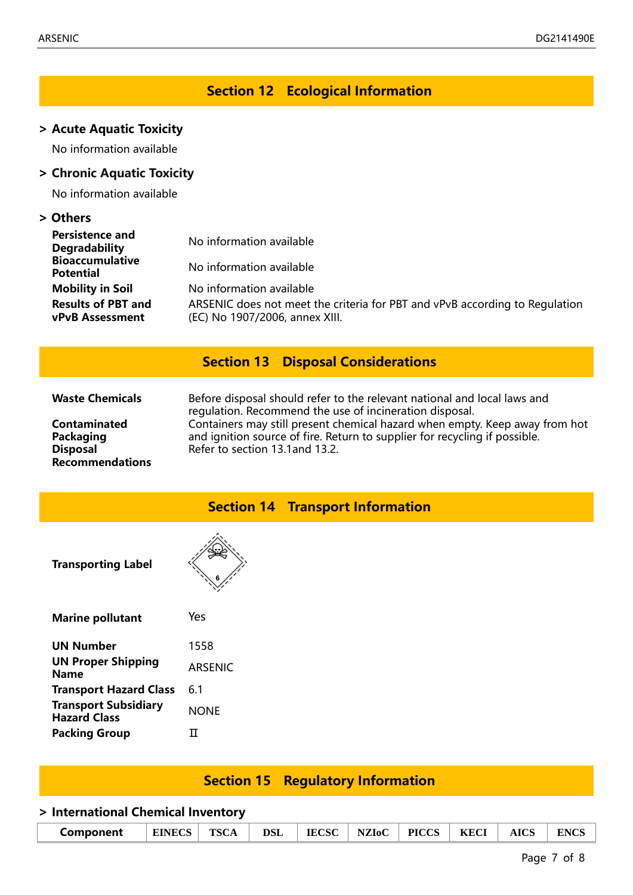# **Section 12 Ecological Information**

#### **> Acute Aquatic Toxicity**

No information available

#### **> Chronic Aquatic Toxicity**

No information available

#### **> Others**

| <b>Persistence and</b><br><b>Degradability</b>      | No information available                                                                                      |
|-----------------------------------------------------|---------------------------------------------------------------------------------------------------------------|
| <b>Bioaccumulative</b><br><b>Potential</b>          | No information available                                                                                      |
| <b>Mobility in Soil</b>                             | No information available                                                                                      |
| <b>Results of PBT and</b><br><b>vPvB Assessment</b> | ARSENIC does not meet the criteria for PBT and vPvB according to Regulation<br>(EC) No 1907/2006, annex XIII. |

# **Section 13 Disposal Considerations**

**Contaminated Packaging Disposal Recommendations**

**Waste Chemicals** Before disposal should refer to the relevant national and local laws and regulation. Recommend the use of incineration disposal. Containers may still present chemical hazard when empty. Keep away from hot and ignition source of fire. Return to supplier for recycling if possible. Refer to section 13.1and 13.2.

#### **Section 14 Transport Information**

**Transporting Label**

| <b>Marine pollutant</b>                            | Yes            |
|----------------------------------------------------|----------------|
| <b>UN Number</b>                                   | 1558           |
| <b>UN Proper Shipping</b><br><b>Name</b>           | <b>ARSENIC</b> |
| <b>Transport Hazard Class</b>                      | 6 1            |
| <b>Transport Subsidiary</b><br><b>Hazard Class</b> | <b>NONE</b>    |
| <b>Packing Group</b>                               | П              |

# **Section 15 Regulatory Information**

#### **> International Chemical Inventory**

| Component | <b>EINECS</b> | <b>TSCA</b> | <b>DSL</b> | <b>IECSC</b> | <b>NZIoC</b> | <b>PICCS</b> | <b>KECI</b> | <b>AICS</b> | <b>ENCS</b> |
|-----------|---------------|-------------|------------|--------------|--------------|--------------|-------------|-------------|-------------|
|-----------|---------------|-------------|------------|--------------|--------------|--------------|-------------|-------------|-------------|